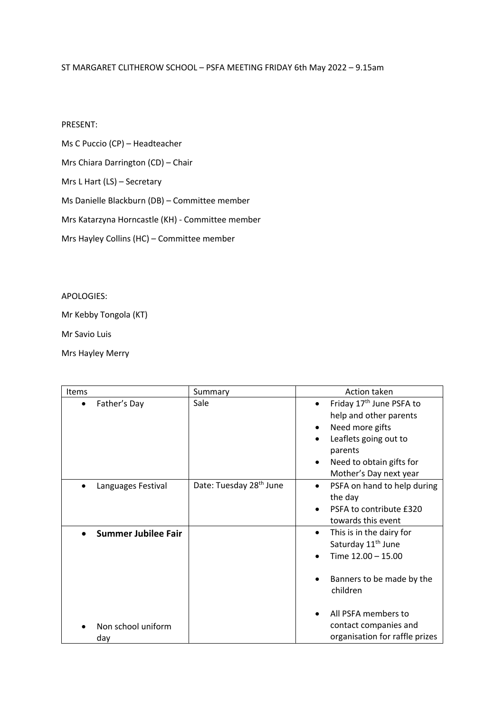## ST MARGARET CLITHEROW SCHOOL – PSFA MEETING FRIDAY 6th May 2022 – 9.15am

## PRESENT:

Ms C Puccio (CP) – Headteacher

Mrs Chiara Darrington (CD) – Chair

Mrs L Hart (LS) – Secretary

Ms Danielle Blackburn (DB) – Committee member

Mrs Katarzyna Horncastle (KH) - Committee member

Mrs Hayley Collins (HC) – Committee member

## APOLOGIES:

Mr Kebby Tongola (KT)

Mr Savio Luis

Mrs Hayley Merry

| Items                      | Summary                             | Action taken                                                                                                                                                                     |
|----------------------------|-------------------------------------|----------------------------------------------------------------------------------------------------------------------------------------------------------------------------------|
| Father's Day<br>$\bullet$  | Sale                                | Friday 17 <sup>th</sup> June PSFA to<br>help and other parents<br>Need more gifts<br>٠<br>Leaflets going out to<br>parents<br>Need to obtain gifts for<br>Mother's Day next year |
| Languages Festival         | Date: Tuesday 28 <sup>th</sup> June | PSFA on hand to help during<br>the day<br>PSFA to contribute £320<br>towards this event                                                                                          |
| <b>Summer Jubilee Fair</b> |                                     | This is in the dairy for<br>$\bullet$<br>Saturday 11 <sup>th</sup> June<br>Time 12.00 - 15.00<br>Banners to be made by the<br>children<br>All PSFA members to                    |
| Non school uniform<br>day  |                                     | contact companies and<br>organisation for raffle prizes                                                                                                                          |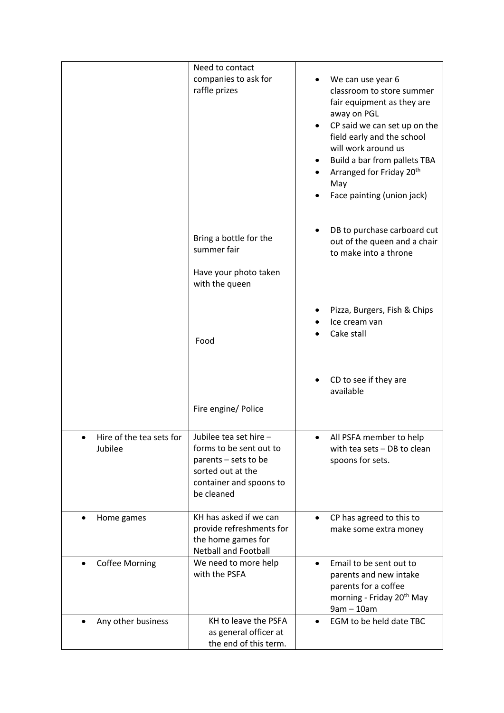|                                     | Need to contact<br>companies to ask for<br>raffle prizes                                                                                | We can use year 6<br>classroom to store summer<br>fair equipment as they are<br>away on PGL<br>CP said we can set up on the<br>field early and the school<br>will work around us<br>Build a bar from pallets TBA<br>Arranged for Friday 20 <sup>th</sup><br>May<br>Face painting (union jack) |
|-------------------------------------|-----------------------------------------------------------------------------------------------------------------------------------------|-----------------------------------------------------------------------------------------------------------------------------------------------------------------------------------------------------------------------------------------------------------------------------------------------|
|                                     | Bring a bottle for the<br>summer fair<br>Have your photo taken<br>with the queen                                                        | DB to purchase carboard cut<br>out of the queen and a chair<br>to make into a throne                                                                                                                                                                                                          |
|                                     | Food                                                                                                                                    | Pizza, Burgers, Fish & Chips<br>Ice cream van<br>Cake stall                                                                                                                                                                                                                                   |
|                                     | Fire engine/ Police                                                                                                                     | CD to see if they are<br>available                                                                                                                                                                                                                                                            |
| Hire of the tea sets for<br>Jubilee | Jubilee tea set hire -<br>forms to be sent out to<br>parents - sets to be<br>sorted out at the<br>container and spoons to<br>be cleaned | All PSFA member to help<br>with tea sets - DB to clean<br>spoons for sets.                                                                                                                                                                                                                    |
| Home games                          | KH has asked if we can<br>provide refreshments for<br>the home games for<br><b>Netball and Football</b>                                 | CP has agreed to this to<br>make some extra money                                                                                                                                                                                                                                             |
| <b>Coffee Morning</b>               | We need to more help<br>with the PSFA                                                                                                   | Email to be sent out to<br>parents and new intake<br>parents for a coffee<br>morning - Friday 20 <sup>th</sup> May<br>$9am - 10am$                                                                                                                                                            |
| Any other business                  | KH to leave the PSFA<br>as general officer at<br>the end of this term.                                                                  | EGM to be held date TBC                                                                                                                                                                                                                                                                       |